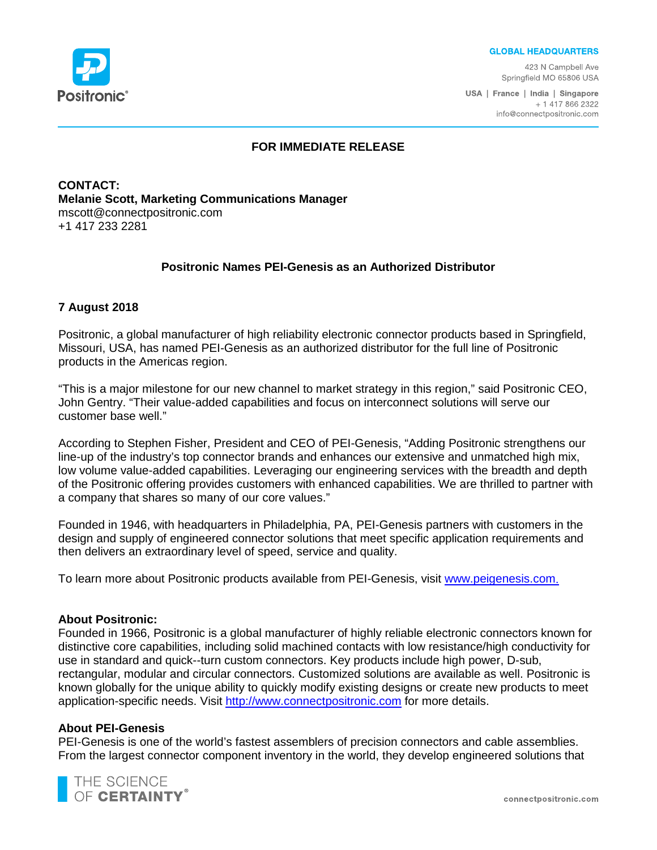

#### **GLOBAL HEADQUARTERS**

423 N Campbell Ave Springfield MO 65806 USA

USA | France | India | Singapore + 1 417 866 2322 info@connectpositronic.com

# **FOR IMMEDIATE RELEASE**

**CONTACT: Melanie Scott, Marketing Communications Manager** mscott@connectpositronic.com +1 417 233 2281

# **Positronic Names PEI-Genesis as an Authorized Distributor**

# **7 August 2018**

Positronic, a global manufacturer of high reliability electronic connector products based in Springfield, Missouri, USA, has named PEI-Genesis as an authorized distributor for the full line of Positronic products in the Americas region.

"This is a major milestone for our new channel to market strategy in this region," said Positronic CEO, John Gentry. "Their value-added capabilities and focus on interconnect solutions will serve our customer base well."

According to Stephen Fisher, President and CEO of PEI-Genesis, "Adding Positronic strengthens our line-up of the industry's top connector brands and enhances our extensive and unmatched high mix, low volume value-added capabilities. Leveraging our engineering services with the breadth and depth of the Positronic offering provides customers with enhanced capabilities. We are thrilled to partner with a company that shares so many of our core values."

Founded in 1946, with headquarters in Philadelphia, PA, PEI-Genesis partners with customers in the design and supply of engineered connector solutions that meet specific application requirements and then delivers an extraordinary level of speed, service and quality.

To learn more about Positronic products available from PEI-Genesis, visit [www.peigenesis.com.](http://www.peigenesis.com/)

# **About Positronic:**

Founded in 1966, Positronic is a global manufacturer of highly reliable electronic connectors known for distinctive core capabilities, including solid machined contacts with low resistance/high conductivity for use in standard and quick--turn custom connectors. Key products include high power, D-sub, rectangular, modular and circular connectors. Customized solutions are available as well. Positronic is known globally for the unique ability to quickly modify existing designs or create new products to meet application-specific needs. Visit [http://www.connectpositronic.com](http://www.connectpositronic.com/) for more details.

#### **About PEI-Genesis**

PEI-Genesis is one of the world's fastest assemblers of precision connectors and cable assemblies. From the largest connector component inventory in the world, they develop engineered solutions that